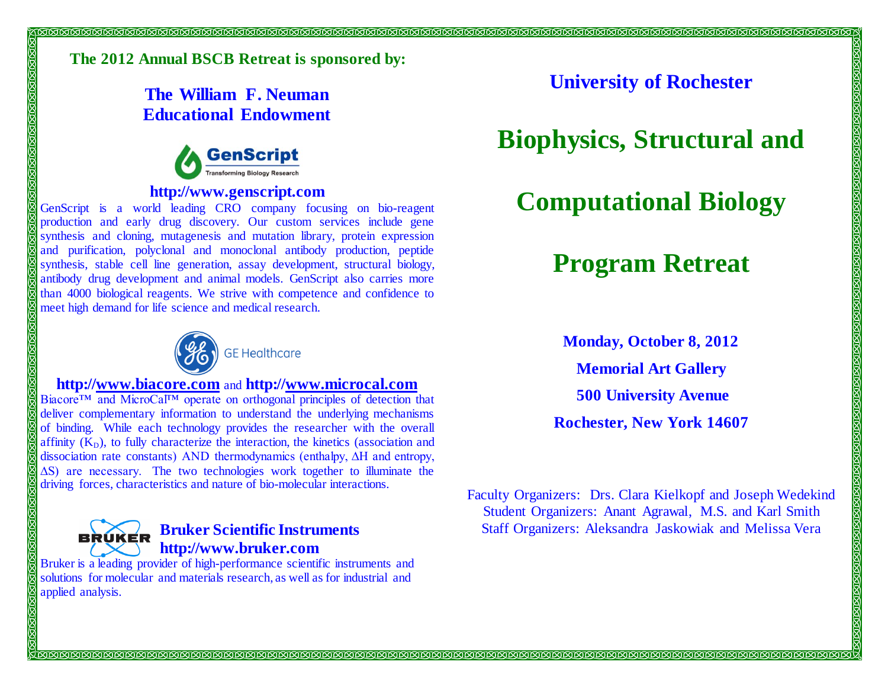### **The 2012 Annual BSCB Retreat is sponsored by:**

**The William F. Neuman Educational Endowment** 



#### **http://www.genscript.com**

GenScript is a world leading CRO company focusing on bio-reagent production and early drug discovery. Our custom services include gene synthesis and cloning, mutagenesis and mutation library, protein expression and purification, polyclonal and monoclonal antibody production, peptide synthesis, stable cell line generation, assay development, structural biology, antibody drug development and animal models. GenScript also carries more than 4000 biological reagents. We strive with competence and confidence to meet high demand for life science and medical research.



#### **http://[www.biacore.com](http://www.biacore.com/)** and **http:/[/www.microcal.com](http://www.microcal.com/)**

Biacore™ and MicroCal™ operate on orthogonal principles of detection that deliver complementary information to understand the underlying mechanisms of binding. While each technology provides the researcher with the overall affinity  $(K_D)$ , to fully characterize the interaction, the kinetics (association and dissociation rate constants) AND thermodynamics (enthalpy, ∆H and entropy, ∆S) are necessary. The two technologies work together to illuminate the driving forces, characteristics and nature of bio-molecular interactions.



50505050505

20202

#### **Bruker Scientific Instruments http://www.bruker.com**

Bruker is a leading provider of high-performance scientific instruments and solutions for molecular and materials research, as well as for industrial and applied analysis.

**University of Rochester**

### **Biophysics, Structural and**

# **Computational Biology**

## **Program Retreat**

**Monday, October 8, 2012 Memorial Art Gallery 500 University Avenue Rochester, New York 14607** <u> MATAMAN MATAN MATAN MATAN MATAN MATAN MATAN MATAN MATAN MATAN MATAN MATAN MATAN MATAN MATAN MATAN MATAN MATAN </u>

Faculty Organizers: Drs. Clara Kielkopf and Joseph Wedekind Student Organizers: Anant Agrawal, M.S. and Karl Smith Staff Organizers: Aleksandra Jaskowiak and Melissa Vera